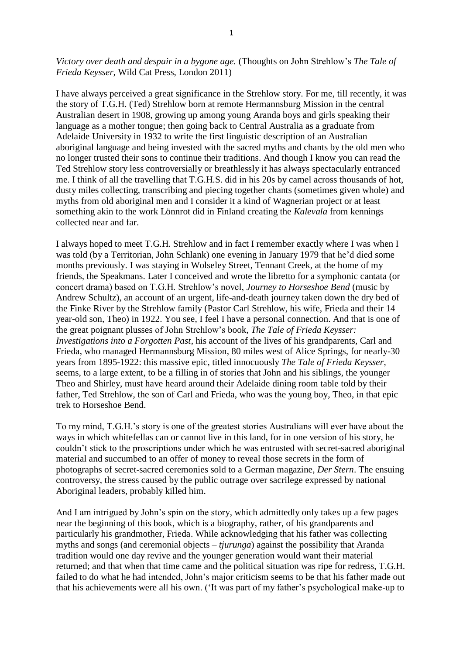*Victory over death and despair in a bygone age.* (Thoughts on John Strehlow"s *The Tale of Frieda Keysser,* Wild Cat Press, London 2011)

I have always perceived a great significance in the Strehlow story. For me, till recently, it was the story of T.G.H. (Ted) Strehlow born at remote Hermannsburg Mission in the central Australian desert in 1908, growing up among young Aranda boys and girls speaking their language as a mother tongue; then going back to Central Australia as a graduate from Adelaide University in 1932 to write the first linguistic description of an Australian aboriginal language and being invested with the sacred myths and chants by the old men who no longer trusted their sons to continue their traditions. And though I know you can read the Ted Strehlow story less controversially or breathlessly it has always spectacularly entranced me. I think of all the travelling that T.G.H.S. did in his 20s by camel across thousands of hot, dusty miles collecting, transcribing and piecing together chants (sometimes given whole) and myths from old aboriginal men and I consider it a kind of Wagnerian project or at least something akin to the work Lönnrot did in Finland creating the *Kalevala* from kennings collected near and far.

I always hoped to meet T.G.H. Strehlow and in fact I remember exactly where I was when I was told (by a Territorian, John Schlank) one evening in January 1979 that he"d died some months previously. I was staying in Wolseley Street, Tennant Creek, at the home of my friends, the Speakmans. Later I conceived and wrote the libretto for a symphonic cantata (or concert drama) based on T.G.H. Strehlow"s novel, *Journey to Horseshoe Bend* (music by Andrew Schultz), an account of an urgent, life-and-death journey taken down the dry bed of the Finke River by the Strehlow family (Pastor Carl Strehlow, his wife, Frieda and their 14 year-old son, Theo) in 1922. You see, I feel I have a personal connection. And that is one of the great poignant plusses of John Strehlow"s book, *The Tale of Frieda Keysser: Investigations into a Forgotten Past*, his account of the lives of his grandparents, Carl and Frieda, who managed Hermannsburg Mission, 80 miles west of Alice Springs, for nearly-30 years from 1895-1922: this massive epic, titled innocuously *The Tale of Frieda Keysser*, seems, to a large extent, to be a filling in of stories that John and his siblings, the younger Theo and Shirley, must have heard around their Adelaide dining room table told by their father, Ted Strehlow, the son of Carl and Frieda, who was the young boy, Theo, in that epic trek to Horseshoe Bend.

To my mind, T.G.H."s story is one of the greatest stories Australians will ever have about the ways in which whitefellas can or cannot live in this land, for in one version of his story, he couldn"t stick to the proscriptions under which he was entrusted with secret-sacred aboriginal material and succumbed to an offer of money to reveal those secrets in the form of photographs of secret-sacred ceremonies sold to a German magazine, *Der Stern*. The ensuing controversy, the stress caused by the public outrage over sacrilege expressed by national Aboriginal leaders, probably killed him.

And I am intrigued by John"s spin on the story, which admittedly only takes up a few pages near the beginning of this book, which is a biography, rather, of his grandparents and particularly his grandmother, Frieda. While acknowledging that his father was collecting myths and songs (and ceremonial objects – *tjurunga*) against the possibility that Aranda tradition would one day revive and the younger generation would want their material returned; and that when that time came and the political situation was ripe for redress, T.G.H. failed to do what he had intended, John"s major criticism seems to be that his father made out that his achievements were all his own. ("It was part of my father"s psychological make-up to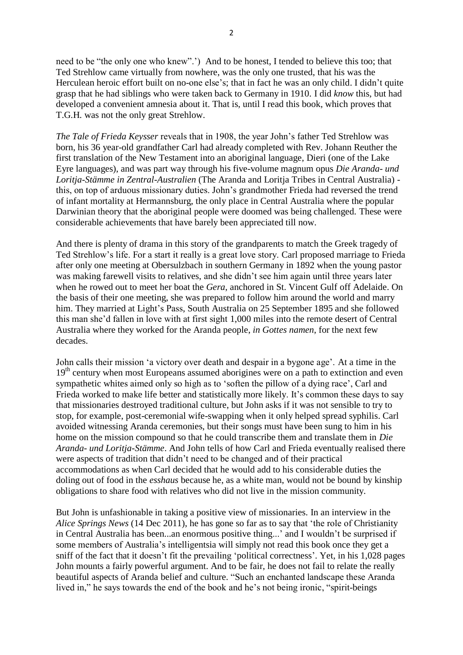need to be "the only one who knew".") And to be honest, I tended to believe this too; that Ted Strehlow came virtually from nowhere, was the only one trusted, that his was the Herculean heroic effort built on no-one else's; that in fact he was an only child. I didn't quite grasp that he had siblings who were taken back to Germany in 1910. I did *know* this, but had developed a convenient amnesia about it. That is, until I read this book, which proves that T.G.H. was not the only great Strehlow.

*The Tale of Frieda Keysser* reveals that in 1908, the year John"s father Ted Strehlow was born, his 36 year-old grandfather Carl had already completed with Rev. Johann Reuther the first translation of the New Testament into an aboriginal language, Dieri (one of the Lake Eyre languages), and was part way through his five-volume magnum opus *Die Aranda*- *und Loritja-Stämme in Zentral-Australien* (The Aranda and Loritja Tribes in Central Australia) this, on top of arduous missionary duties. John"s grandmother Frieda had reversed the trend of infant mortality at Hermannsburg, the only place in Central Australia where the popular Darwinian theory that the aboriginal people were doomed was being challenged. These were considerable achievements that have barely been appreciated till now.

And there is plenty of drama in this story of the grandparents to match the Greek tragedy of Ted Strehlow"s life. For a start it really is a great love story. Carl proposed marriage to Frieda after only one meeting at Obersulzbach in southern Germany in 1892 when the young pastor was making farewell visits to relatives, and she didn"t see him again until three years later when he rowed out to meet her boat the *Gera*, anchored in St. Vincent Gulf off Adelaide. On the basis of their one meeting, she was prepared to follow him around the world and marry him. They married at Light's Pass, South Australia on 25 September 1895 and she followed this man she"d fallen in love with at first sight 1,000 miles into the remote desert of Central Australia where they worked for the Aranda people, *in Gottes namen*, for the next few decades.

John calls their mission "a victory over death and despair in a bygone age". At a time in the 19<sup>th</sup> century when most Europeans assumed aborigines were on a path to extinction and even sympathetic whites aimed only so high as to "soften the pillow of a dying race", Carl and Frieda worked to make life better and statistically more likely. It's common these days to say that missionaries destroyed traditional culture, but John asks if it was not sensible to try to stop, for example, post-ceremonial wife-swapping when it only helped spread syphilis. Carl avoided witnessing Aranda ceremonies, but their songs must have been sung to him in his home on the mission compound so that he could transcribe them and translate them in *Die Aranda*- *und Loritja-Stämme*. And John tells of how Carl and Frieda eventually realised there were aspects of tradition that didn"t need to be changed and of their practical accommodations as when Carl decided that he would add to his considerable duties the doling out of food in the *esshaus* because he, as a white man, would not be bound by kinship obligations to share food with relatives who did not live in the mission community.

But John is unfashionable in taking a positive view of missionaries. In an interview in the *Alice Springs News* (14 Dec 2011), he has gone so far as to say that "the role of Christianity in Central Australia has been...an enormous positive thing..." and I wouldn"t be surprised if some members of Australia"s intelligentsia will simply not read this book once they get a sniff of the fact that it doesn't fit the prevailing 'political correctness'. Yet, in his 1,028 pages John mounts a fairly powerful argument. And to be fair, he does not fail to relate the really beautiful aspects of Aranda belief and culture. "Such an enchanted landscape these Aranda lived in," he says towards the end of the book and he"s not being ironic, "spirit-beings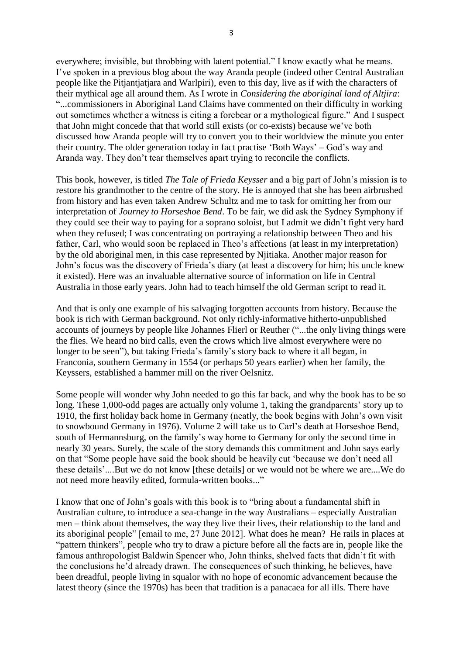everywhere; invisible, but throbbing with latent potential." I know exactly what he means. I"ve spoken in a previous blog about the way Aranda people (indeed other Central Australian people like the Pitjantjatjara and Warlpiri), even to this day, live as if with the characters of their mythical age all around them. As I wrote in *Considering the aboriginal land of Altjira*: "...commissioners in Aboriginal Land Claims have commented on their difficulty in working out sometimes whether a witness is citing a forebear or a mythological figure." And I suspect that John might concede that that world still exists (or co-exists) because we"ve both discussed how Aranda people will try to convert you to their worldview the minute you enter their country. The older generation today in fact practise 'Both Ways' – God's way and Aranda way. They don"t tear themselves apart trying to reconcile the conflicts.

This book, however, is titled *The Tale of Frieda Keysser* and a big part of John"s mission is to restore his grandmother to the centre of the story. He is annoyed that she has been airbrushed from history and has even taken Andrew Schultz and me to task for omitting her from our interpretation of *Journey to Horseshoe Bend*. To be fair, we did ask the Sydney Symphony if they could see their way to paying for a soprano soloist, but I admit we didn"t fight very hard when they refused; I was concentrating on portraying a relationship between Theo and his father, Carl, who would soon be replaced in Theo's affections (at least in my interpretation) by the old aboriginal men, in this case represented by Njitiaka. Another major reason for John"s focus was the discovery of Frieda"s diary (at least a discovery for him; his uncle knew it existed). Here was an invaluable alternative source of information on life in Central Australia in those early years. John had to teach himself the old German script to read it.

And that is only one example of his salvaging forgotten accounts from history. Because the book is rich with German background. Not only richly-informative hitherto-unpublished accounts of journeys by people like Johannes Flierl or Reuther ("...the only living things were the flies. We heard no bird calls, even the crows which live almost everywhere were no longer to be seen"), but taking Frieda's family's story back to where it all began, in Franconia, southern Germany in 1554 (or perhaps 50 years earlier) when her family, the Keyssers, established a hammer mill on the river Oelsnitz.

Some people will wonder why John needed to go this far back, and why the book has to be so long. These 1,000-odd pages are actually only volume 1, taking the grandparents' story up to 1910, the first holiday back home in Germany (neatly, the book begins with John"s own visit to snowbound Germany in 1976). Volume 2 will take us to Carl"s death at Horseshoe Bend, south of Hermannsburg, on the family"s way home to Germany for only the second time in nearly 30 years. Surely, the scale of the story demands this commitment and John says early on that "Some people have said the book should be heavily cut "because we don"t need all these details"....But we do not know [these details] or we would not be where we are....We do not need more heavily edited, formula-written books..."

I know that one of John"s goals with this book is to "bring about a fundamental shift in Australian culture, to introduce a sea-change in the way Australians – especially Australian men – think about themselves, the way they live their lives, their relationship to the land and its aboriginal people" [email to me, 27 June 2012]. What does he mean? He rails in places at "pattern thinkers", people who try to draw a picture before all the facts are in, people like the famous anthropologist Baldwin Spencer who, John thinks, shelved facts that didn"t fit with the conclusions he"d already drawn. The consequences of such thinking, he believes, have been dreadful, people living in squalor with no hope of economic advancement because the latest theory (since the 1970s) has been that tradition is a panacaea for all ills. There have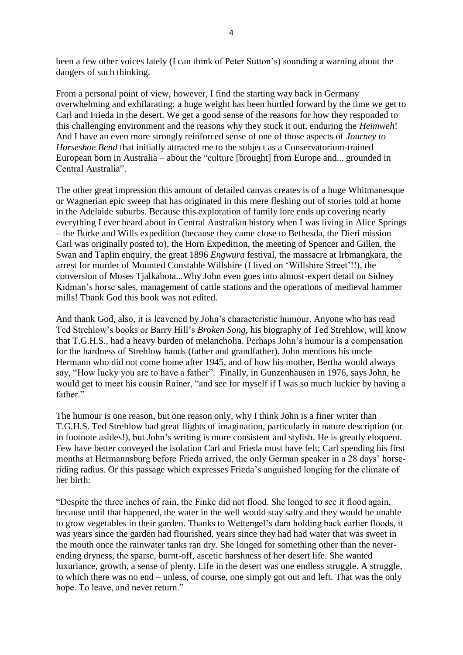been a few other voices lately (I can think of Peter Sutton"s) sounding a warning about the dangers of such thinking.

From a personal point of view, however, I find the starting way back in Germany overwhelming and exhilarating; a huge weight has been hurtled forward by the time we get to Carl and Frieda in the desert. We get a good sense of the reasons for how they responded to this challenging environment and the reasons why they stuck it out, enduring the *Heimweh*! And I have an even more strongly reinforced sense of one of those aspects of *Journey to Horseshoe Bend* that initially attracted me to the subject as a Conservatorium-trained European born in Australia – about the "culture [brought] from Europe and... grounded in Central Australia".

The other great impression this amount of detailed canvas creates is of a huge Whitmanesque or Wagnerian epic sweep that has originated in this mere fleshing out of stories told at home in the Adelaide suburbs. Because this exploration of family lore ends up covering nearly everything I ever heard about in Central Australian history when I was living in Alice Springs – the Burke and Wills expedition (because they came close to Bethesda, the Dieri mission Carl was originally posted to), the Horn Expedition, the meeting of Spencer and Gillen, the Swan and Taplin enquiry, the great 1896 *Engwura* festival, the massacre at Irbmangkara, the arrest for murder of Mounted Constable Willshire (I lived on "Willshire Street"!!), the conversion of Moses Tjalkabota...Why John even goes into almost-expert detail on Sidney Kidman"s horse sales, management of cattle stations and the operations of medieval hammer mills! Thank God this book was not edited.

And thank God, also, it is leavened by John"s characteristic humour. Anyone who has read Ted Strehlow"s books or Barry Hill"s *Broken Song*, his biography of Ted Strehlow, will know that T.G.H.S., had a heavy burden of melancholia. Perhaps John"s humour is a compensation for the hardness of Strehlow hands (father and grandfather). John mentions his uncle Hermann who did not come home after 1945, and of how his mother, Bertha would always say, "How lucky you are to have a father". Finally, in Gunzenhausen in 1976, says John, he would get to meet his cousin Rainer, "and see for myself if I was so much luckier by having a father."

The humour is one reason, but one reason only, why I think John is a finer writer than T.G.H.S. Ted Strehlow had great flights of imagination, particularly in nature description (or in footnote asides!), but John"s writing is more consistent and stylish. He is greatly eloquent. Few have better conveyed the isolation Carl and Frieda must have felt; Carl spending his first months at Hermannsburg before Frieda arrived, the only German speaker in a 28 days' horseriding radius. Or this passage which expresses Frieda"s anguished longing for the climate of her birth:

"Despite the three inches of rain, the Finke did not flood. She longed to see it flood again, because until that happened, the water in the well would stay salty and they would be unable to grow vegetables in their garden. Thanks to Wettengel"s dam holding back earlier floods, it was years since the garden had flourished, years since they had had water that was sweet in the mouth once the rainwater tanks ran dry. She longed for something other than the neverending dryness, the sparse, burnt-off, ascetic harshness of her desert life. She wanted luxuriance, growth, a sense of plenty. Life in the desert was one endless struggle. A struggle, to which there was no end – unless, of course, one simply got out and left. That was the only hope. To leave, and never return."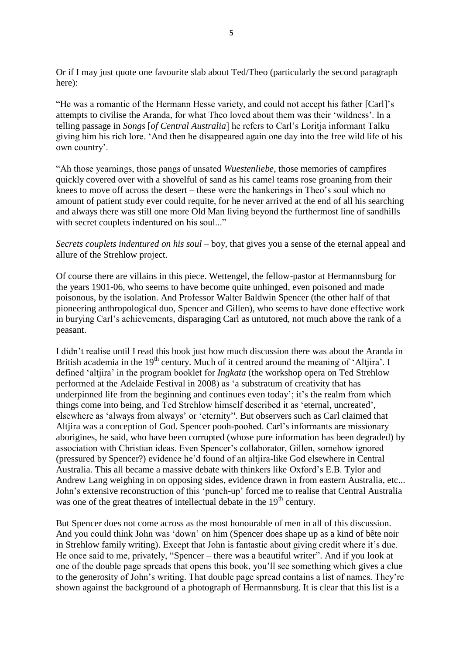Or if I may just quote one favourite slab about Ted/Theo (particularly the second paragraph here):

"He was a romantic of the Hermann Hesse variety, and could not accept his father [Carl]"s attempts to civilise the Aranda, for what Theo loved about them was their "wildness". In a telling passage in *Songs* [*of Central Australia*] he refers to Carl"s Loritja informant Talku giving him his rich lore. "And then he disappeared again one day into the free wild life of his own country'.

"Ah those yearnings, those pangs of unsated *Wuestenliebe*, those memories of campfires quickly covered over with a shovelful of sand as his camel teams rose groaning from their knees to move off across the desert – these were the hankerings in Theo"s soul which no amount of patient study ever could requite, for he never arrived at the end of all his searching and always there was still one more Old Man living beyond the furthermost line of sandhills with secret couplets indentured on his soul..."

*Secrets couplets indentured on his soul* – boy, that gives you a sense of the eternal appeal and allure of the Strehlow project.

Of course there are villains in this piece. Wettengel, the fellow-pastor at Hermannsburg for the years 1901-06, who seems to have become quite unhinged, even poisoned and made poisonous, by the isolation. And Professor Walter Baldwin Spencer (the other half of that pioneering anthropological duo, Spencer and Gillen), who seems to have done effective work in burying Carl"s achievements, disparaging Carl as untutored, not much above the rank of a peasant.

I didn"t realise until I read this book just how much discussion there was about the Aranda in British academia in the 19<sup>th</sup> century. Much of it centred around the meaning of 'Altjira'. I defined "altjira" in the program booklet for *Ingkata* (the workshop opera on Ted Strehlow performed at the Adelaide Festival in 2008) as "a substratum of creativity that has underpinned life from the beginning and continues even today'; it's the realm from which things come into being, and Ted Strehlow himself described it as "eternal, uncreated", elsewhere as "always from always" or "eternity"'. But observers such as Carl claimed that Altjira was a conception of God. Spencer pooh-poohed. Carl"s informants are missionary aborigines, he said, who have been corrupted (whose pure information has been degraded) by association with Christian ideas. Even Spencer"s collaborator, Gillen, somehow ignored (pressured by Spencer?) evidence he"d found of an altjira-like God elsewhere in Central Australia. This all became a massive debate with thinkers like Oxford"s E.B. Tylor and Andrew Lang weighing in on opposing sides, evidence drawn in from eastern Australia, etc... John"s extensive reconstruction of this "punch-up" forced me to realise that Central Australia was one of the great theatres of intellectual debate in the  $19<sup>th</sup>$  century.

But Spencer does not come across as the most honourable of men in all of this discussion. And you could think John was "down" on him (Spencer does shape up as a kind of bête noir in Strehlow family writing). Except that John is fantastic about giving credit where it's due. He once said to me, privately, "Spencer – there was a beautiful writer". And if you look at one of the double page spreads that opens this book, you"ll see something which gives a clue to the generosity of John"s writing. That double page spread contains a list of names. They"re shown against the background of a photograph of Hermannsburg. It is clear that this list is a